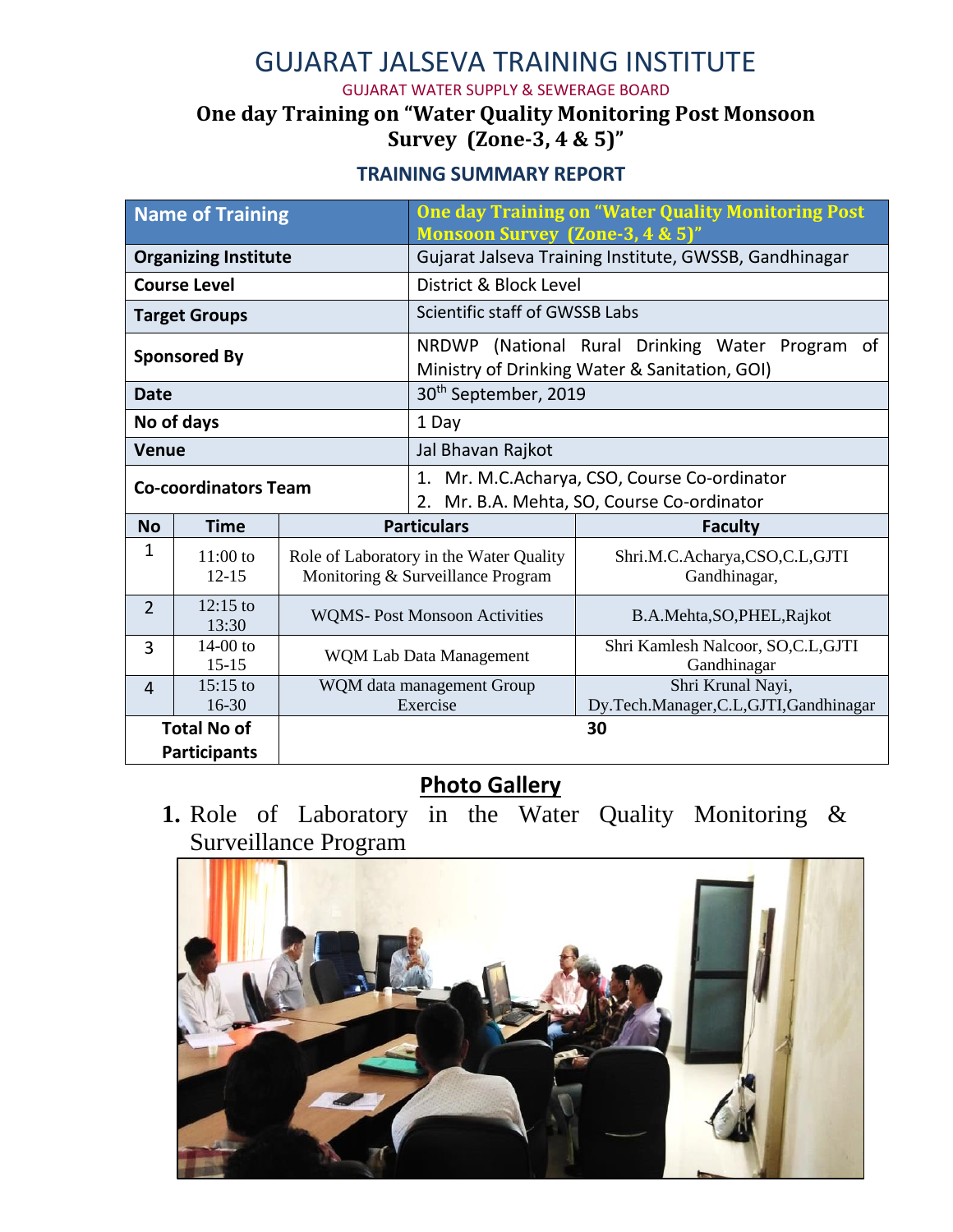# GUJARAT JALSEVA TRAINING INSTITUTE

GUJARAT WATER SUPPLY & SEWERAGE BOARD

### **One day Training on "Water Quality Monitoring Post Monsoon Survey (Zone-3, 4 & 5)"**

#### **TRAINING SUMMARY REPORT**

| <b>Name of Training</b>     |                         |                                                                              | <b>One day Training on "Water Quality Monitoring Post</b><br><b>Monsoon Survey (Zone-3, 4 &amp; 5)'</b> |                                                  |
|-----------------------------|-------------------------|------------------------------------------------------------------------------|---------------------------------------------------------------------------------------------------------|--------------------------------------------------|
| <b>Organizing Institute</b> |                         |                                                                              | Gujarat Jalseva Training Institute, GWSSB, Gandhinagar                                                  |                                                  |
| <b>Course Level</b>         |                         |                                                                              | District & Block Level                                                                                  |                                                  |
| <b>Target Groups</b>        |                         |                                                                              | Scientific staff of GWSSB Labs                                                                          |                                                  |
| <b>Sponsored By</b>         |                         |                                                                              | NRDWP (National Rural Drinking Water Program<br>0f<br>Ministry of Drinking Water & Sanitation, GOI)     |                                                  |
| <b>Date</b>                 |                         |                                                                              | 30 <sup>th</sup> September, 2019                                                                        |                                                  |
| No of days                  |                         |                                                                              | 1 Day                                                                                                   |                                                  |
| <b>Venue</b>                |                         |                                                                              | Jal Bhavan Rajkot                                                                                       |                                                  |
| <b>Co-coordinators Team</b> |                         |                                                                              | Mr. M.C.Acharya, CSO, Course Co-ordinator<br>1.<br>2. Mr. B.A. Mehta, SO, Course Co-ordinator           |                                                  |
| <b>No</b>                   | <b>Time</b>             | <b>Particulars</b>                                                           |                                                                                                         | <b>Faculty</b>                                   |
| $\mathbf{1}$                | $11:00$ to<br>$12 - 15$ | Role of Laboratory in the Water Quality<br>Monitoring & Surveillance Program |                                                                                                         | Shri.M.C.Acharya,CSO,C.L,GJTI<br>Gandhinagar,    |
| $\overline{2}$              | $12:15$ to<br>13:30     | <b>WQMS-Post Monsoon Activities</b>                                          |                                                                                                         | B.A.Mehta, SO, PHEL, Rajkot                      |
| 3                           | $14-00$ to<br>$15 - 15$ | WQM Lab Data Management                                                      |                                                                                                         | Shri Kamlesh Nalcoor, SO,C.L,GJTI<br>Gandhinagar |
| $\overline{4}$              | $15:15$ to              | WQM data management Group                                                    |                                                                                                         | Shri Krunal Nayi,                                |
| $16-30$                     |                         |                                                                              | Exercise<br>Dy.Tech.Manager,C.L,GJTI,Gandhinagar                                                        |                                                  |
| <b>Total No of</b>          |                         |                                                                              |                                                                                                         | 30                                               |
| <b>Participants</b>         |                         |                                                                              |                                                                                                         |                                                  |

## **Photo Gallery**

**1.** Role of Laboratory in the Water Quality Monitoring & Surveillance Program

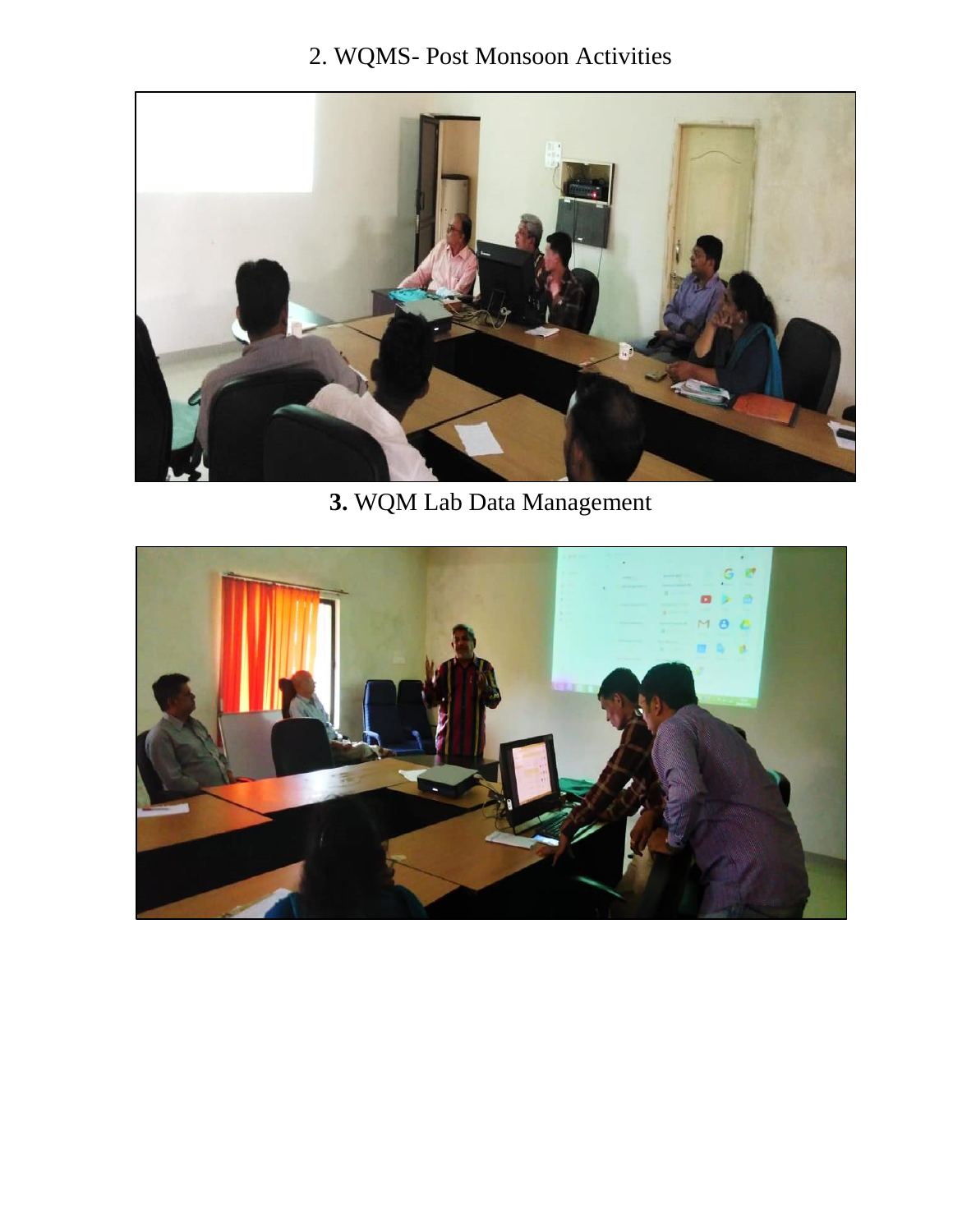# 2. WQMS- Post Monsoon Activities



**3.** WQM Lab Data Management